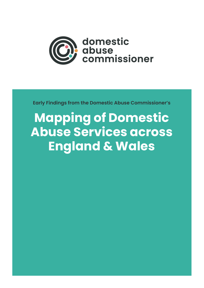

**Early Findings from the Domestic Abuse Commissioner's** 

# **Mapping of Domestic Abuse Services across England & Wales**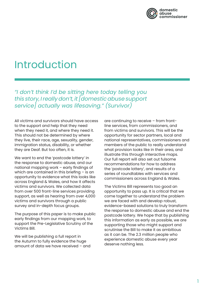

### Introduction

*"I don't think I'd be sitting here today telling you this story, I really don't, it [domestic abuse support service] actually was lifesaving." (Survivor)* 

All victims and survivors should have access to the support and help that they need when they need it, and where they need it. This should not be determined by where they live, their race, age, sexuality, gender, immigration status, disability, or whether they are Deaf. But too often, it is.

We want to end the 'postcode lottery' in the response to domestic abuse, and our national mapping work – early findings of which are contained in this briefing - is an opportunity to evidence what this looks like across England & Wales, and how it affects victims and survivors. We collected data from over 500 front-line services providing support, as well as hearing from over 4,000 victims and survivors through a public survey and in-depth focus groups.

The purpose of this paper is to make public early findings from our mapping work, to support the Pre-Legislative Scrutiny of the Victims Bill.

We will be publishing a full report in the Autumn to fully evidence the huge amount of data we have received – and

are continuing to receive – from frontline services, from commissioners, and from victims and survivors. This will be the opportunity for sector partners, local and national representatives, commissioners and members of the public to really understand what provision looks like in their area, and illustrate this through interactive maps. Our full report will also set out fulsome recommendations for how to address the 'postcode lottery', and results of a series of roundtables with services and commissioners across England & Wales.

The Victims Bill represents too good an opportunity to pass up. It is critical that we come together to understand the problem we are faced with and develop robust, evidence-based solutions to truly transform the response to domestic abuse and end the postcode lottery. We hope that by publishing this information as early as possible, we are supporting those who might support and scrutinise the Bill to make it as ambitious as it can be. The 2.3 million people who experience domestic abuse every year deserve nothing less.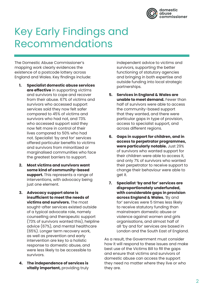

## Key Early Findings and Recommendations

The Domestic Abuse Commissioner's mapping work clearly evidences the existence of a postcode lottery across England and Wales. Key findings include:

- **1. Specialist domestic abuse services are effective** in supporting victims and survivors to cope and recover from their abuse. 67% of victims and survivors who accessed support services said they now felt safer compared to 45% of victims and survivors who had not, and 73% who accessed support said they now felt more in control of their lives compared to 50% who had not. Specialist 'by and for' services offered particular benefits to victims and survivors from minoritized or marginalised communities who face the greatest barriers to support.
- **2. Most victims and survivors want some kind of community-based support.** This represents a range of interventions, with advocacy being just one element.
- **3. Advocacy support alone is insufficient to meet the needs of victims and survivors.** The most sought-after services existed outside of a typical advocate role, namely counselling and therapeutic support (73% of survivors wanted this), helpline advice (67%), and mental healthcare (65%). Longer term recovery work, as well as prevention and early intervention are key to a holistic response to domestic abuse, and were less likely to be accessible to survivors.
- **4. The independence of services is vitally important, providing truly**

independent advice to victims and survivors, supporting the better functioning of statutory agencies and bringing in both expertise and outside funding into local strategic partnerships.

- **5. Services in England & Wales are unable to meet demand.** Fewer than half of survivors were able to access the community-based support that they wanted, and there were particular gaps in type of provision, access to specialist support, and across different regions.
- **6. Gaps in support for children, and in access to perpetrator programmes, were particularly notable.** Just 29% of survivors who wanted support for their children were able to access it, and only 7% of survivors who wanted their perpetrator to receive support to change their behaviour were able to get it.
- **7. Specialist 'by and for' services are disproportionately underfunded, with considerable gaps in provision across England & Wales.** 'By and for' services were 5 times less likely to receive statutory funding than mainstream domestic abuse or violence against women and girls organisations, and almost half of all 'by and for' services are based in London and the South East of England.

As a result, the Government must consider how it will respond to these issues and make best use of the Victims Bill to fill the gaps and ensure that victims and survivors of domestic abuse can access the support they need no matter where they live or who they are.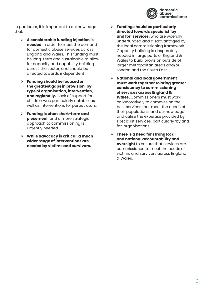

In particular, it is important to acknowledge that:

- **A considerable funding injection is needed** in order to meet the demand for domestic abuse services across England and Wales. This funding must be long-term and sustainable to allow for capacity and capability building across the sector, and should be directed towards independent
- **Funding should be focused on the greatest gaps in provision, by type of organisation, intervention, and regionally.** Lack of support for children was particularly notable, as well as interventions for perpetrators.
- **Funding is often short-term and piecemeal,** and a more strategic approach to commissioning is urgently needed.
- **While advocacy is critical, a much wider range of interventions are needed by victims and survivors.**
- **Funding should be particularly directed towards specialist 'by and for' services,** who are woefully underfunded and disadvantaged by the local commissioning framework. Capacity building is desperately needed in large parts of England & Wales to build provision outside of larger metropolitan areas and/or London and the South East.
- **National and local government must work together to bring greater consistency to commissioning of services across England & Wales.** Commissioners must work collaboratively to commission the best services that meet the needs of their populations, and acknowledge and utilise the expertise provided by specialist services, particularly 'by and for' organisations.
- **There is a need for strong local and national accountability and oversight** to ensure that services are commissioned to meet the needs of victims and survivors across England & Wales.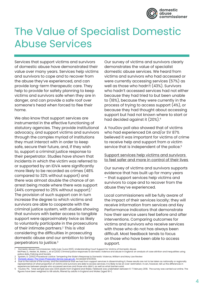

### The Value of Specialist Domestic Abuse Services

Services that support victims and survivors of domestic abuse have demonstrated their value over many years. Services help victims and survivors to cope and to recover from the abuse they've experienced, and can provide long-term therapeutic care. They help to provide for safety planning to keep victims and survivors safe when they are in danger, and can provide a safe roof over someone's head when forced to flee their home.

We also know that support services are instrumental in the effective functioning of statutory agencies. They provide institutional advocacy, and support victims and survivors through the complex myriad of institutions they must interact with in order to keep safe, secure their future, and, if they wish to, support a criminal justice response to their perpetrator. Studies have shown that incidents in which the victim was referred to or supported by an IDVA were significantly more likely to be recorded as crimes (48% compared to 32% without support) and there was almost double the chance of an arrest being made where there was support  $(44%$  compared to 25% without support).<sup>1</sup> The provision of such support can in turn increase the degree to which victims and survivors are able to cooperate with the criminal justice system, with studies showing that survivors with better access to tangible support were approximately twice as likely to voluntarily participate in the prosecutions of their intimate partners.<sup>2</sup> This is vital considering the difficulties in prosecuting domestic abuse and our ambition to bring perpetrators to justice.3

Our survey of victims and survivors clearly demonstrates the value of specialist domestic abuse services. We heard from victims and survivors who had accessed or were currently accessing services (57%) as well as those who hadn't (43%). Survivors who hadn't accessed services had not either because they had tried to but been unable to (18%), because they were currently in the process of trying to access support (4%), or because they had thought about accessing support but had not known where to start or had decided against it (20%).4

A YouGov poll also showed that of victims who had experienced DA and/or SV 87% believed it was important for victims of crime to receive help and support from a victim service that is independent of the police.<sup>5</sup>

#### Support services help victims and survivors to feel safer and more in control of their lives

Our survey of victims and survivors supports evidence that has built up for many years – that support services help victims and survivors to cope and to recover from the abuse they've experienced.

Local commissioners will be fully aware of the impact of their services locally; they will receive information from services and Key Performance Indicators that demonstrate how their service users feel before and after interventions. Comparing outcomes for victims and survivors who receive services with those who do not has always been difficult. Most feedback tends to focus on those who have been able to access support.

- 
- police data, Policing and Society 2 Epstein, D. (2002) Procedural Justice: Tempering the State's Response to Domestic Violence, William and Mary Law Review
- [Domestic abuse | The Crown Prosecution Service \(cps.gov.uk\)](https://www.cps.gov.uk/crime-info/domestic-abuse). Accessed 6/6/2022.

l Domestic Abuse Commissioner, Safe Lives (June 2021), Understanding Court Support for Victims of Domestic Abuse.<br>McPhee, D., Hester, M., Bates, L., et al (2021) Criminal justice responses to domestic violence and abuse in

Due to the nature of the survey, and the assistance that we had from support services in disseminating it, these results are not to be taken as nationally or regionally or regionally and survivors are able to access servic

experiences between people who accessed services and those who didn't, as well as what barriers exist.<br>5 YouGov Plc. Total sample size was 1,934 adults from England and Wales. Fieldwork was undertaken between 6-7 Febru figures have been weighted to GB adults, filtered by adults in England and Wales (aged 18+).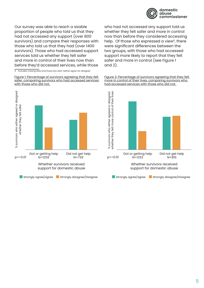

Our survey was able to reach a sizable proportion of people who told us that they had not accessed any support (over 800 survivors) and compare their responses with those who told us that they had (over 1400 survivors). Those who had accessed support services told us whether they felt safer and more in control of their lives now than before they'd accessed services, while those

6 Excludes missing data and those who said 'neither agree nor disagree'

Figure 1: Percentage of survivors agreeing that they felt safer, comparing survivors who had accessed services with those who did not.



who had not accessed any support told us whether they felt safer and more in control now than before they considered accessing help. Of those who expressed a view<sup>6</sup>, there were significant differences between the two groups, with those who had accessed support more likely to report that they felt safer and more in control (see Figure 1 and 2).

Figure 2: Percentage of survivors agreeing that they felt more in control of their lives, comparing survivors who had accessed services with those who did not.

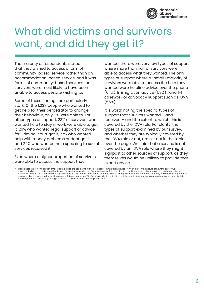

## What did victims and survivors want, and did they get it?

The majority of respondents stated that they wished to access a form of community-based service rather than an accommodation-based service, and it was forms of community-based services that survivors were most likely to have been unable to access despite wishing to.

Some of these findings are particularly stark. Of the 1,238 people who wanted to get help for their perpetrator to change their behaviour, only 7% were able to. For other types of support, 23% of survivors who wanted help to stay in work were able to get it, 26% who wanted legal support or advice for Criminal court got it, 27% who wanted help with money problems or debt got it, and 29% who wanted help speaking to social services received it.

Even where a higher proportion of survivors were able to access the support they

wanted, there were very few types of support where more than half of survivors were able to access what they wanted. The only types of support where a (small) majority of survivors were able to access the help they wanted were helpline advice over the phone  $(64%)$ , Immigration advice  $(58%)^7$ , and  $1-1$ casework or advocacy support such as IDVA (55%).

It is worth noting the specific types of support that survivors wanted – and received – and the extent to which this is covered by the IDVA role. For clarity, the types of support examined by our survey, and whether they are typically covered by the IDVA role or not, are set out in the table over the page. We said that a service is not covered by an IDVA role where they might signpost to other sources of support, as they themselves would be unlikely to provide that expert advice.

<sup>7</sup> Please note this is from a much smaller sample size of people who wished to access immigration advice (157), and given the nature of how the survey was disseminated and the assistance that by and for services provided the Commissioner with, is likely to be a significant over-estimation of the number of migrant<br>survivors who were able to access immigration advice. 73% of t domestic abuse services in the last three years. This compares to 47% of all respondents, indicating that those with insecure immigration status were more likely to have responded to the survey through specialist DA services that had supported them.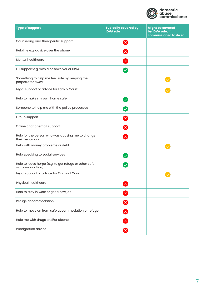

| <b>Type of support</b>                                                 | <b>Typically covered by</b><br><b>IDVA role</b> | <b>Might be covered</b><br>by IDVA role, if<br>commissioned to do so |
|------------------------------------------------------------------------|-------------------------------------------------|----------------------------------------------------------------------|
| Counselling and therapeutic support                                    | $\mathbf{x}$                                    |                                                                      |
| Helpline e.g. advice over the phone                                    |                                                 |                                                                      |
| Mental healthcare                                                      | $\mathbf{\overline{x}}$                         |                                                                      |
| 1-1 support e.g. with a caseworker or IDVA                             |                                                 |                                                                      |
| Something to help me feel safe by keeping the<br>perpetrator away      |                                                 |                                                                      |
| Legal support or advice for Family Court                               |                                                 |                                                                      |
| Help to make my own home safer                                         |                                                 |                                                                      |
| Someone to help me with the police processes                           |                                                 |                                                                      |
| Group support                                                          |                                                 |                                                                      |
| Online chat or email support                                           |                                                 |                                                                      |
| Help for the person who was abusing me to change<br>their behaviour    | $\boldsymbol{\mathsf{x}}$                       |                                                                      |
| Help with money problems or debt                                       |                                                 |                                                                      |
| Help speaking to social services                                       |                                                 |                                                                      |
| Help to leave home (e.g. to get refuge or other safe<br>accommodation) |                                                 |                                                                      |
| Legal support or advice for Criminal Court                             |                                                 |                                                                      |
| Physical healthcare                                                    | $\mathbf{x}$                                    |                                                                      |
| Help to stay in work or get a new job                                  | $\mathbf{x}$                                    |                                                                      |
| Refuge accommodation                                                   | ×                                               |                                                                      |
| Help to move on from safe accommodation or refuge                      | $\mathbf{\overline{x}}$                         |                                                                      |
| Help me with drugs and/or alcohol                                      | $\mathbf{x}$                                    |                                                                      |
| Immigration advice                                                     | $\mathbf{x}$                                    |                                                                      |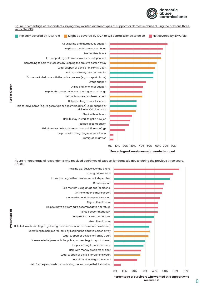

Figure 3: Percentage of respondents saying they wanted different types of support for domestic abuse during the previous three years N=3018



**Type of support**

Type of support

**Percentage of survivours who wanted support**

Figure 4: Percentage of respondents who received each type of support for domestic abuse during the previous three years, N=3018



**Percentage of survivors who wanted this support who received it**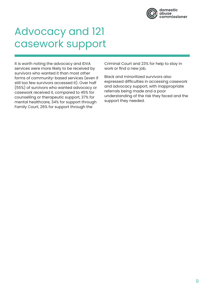

### Advocacy and 121 casework support

It is worth noting the advocacy and IDVA services were more likely to be received by survivors who wanted it than most other forms of community-based services (even if still too few survivors accessed it). Over half (55%) of survivors who wanted advocacy or casework received it, compared to 45% for counselling or therapeutic support, 37% for mental healthcare, 34% for support through Family Court, 26% for support through the

Criminal Court and 23% for help to stay in work or find a new job.

Black and minoritized survivors also expressed difficulties in accessing casework and advocacy support, with inappropriate referrals being made and a poor understanding of the risk they faced and the support they needed.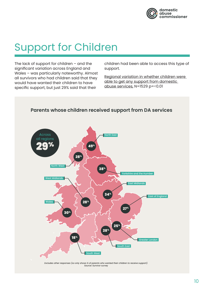

# Support for Children

The lack of support for children  $-$  and the significant variation across England and Wales – was particularly noteworthy. Almost all survivors who had children said that they would have wanted their children to have specific support, but just 29% said that their

children had been able to access this type of support.

Regional variation in whether children were able to get any support from domestic abuse services, N=1529 p=<0.01



*Excludes other responses (so only shows % of parents who wanted their children to receive support). Source: Survivor survey*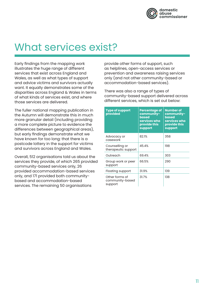

### What services exist?

Early findings from the mapping work illustrates the huge range of different services that exist across England and Wales, as well as what types of support and advice victims and survivors actually want. It equally demonstrates some of the disparities across England & Wales in terms of what kinds of services exist, and where those services are delivered.

The fuller national mapping publication in the Autumn will demonstrate this in much more granular detail (including providing a more complete picture to evidence the differences between geographical areas), but early findings demonstrate what we have known for too long: that there is a postcode lottery in the support for victims and survivors across England and Wales.

Overall, 512 organisations told us about the services they provide, of which 265 provided community-based services only, 26 provided accommodation-based services only, and 171 provided both communitybased and accommodation-based services. The remaining 50 organisations

provide other forms of support, such as helplines, open-access services or prevention and awareness raising services only (and not other community-based or accommodation-based services).

There was also a range of types of community-based support delivered across different services, which is set out below:

| <b>Type of support</b><br>provided           | Percentage of<br>community-<br><b>based</b><br>services who<br>provide this<br>support | <b>Number of</b><br>community-<br><b>based</b><br>services who<br>provide this<br>support |
|----------------------------------------------|----------------------------------------------------------------------------------------|-------------------------------------------------------------------------------------------|
| Advocacy or<br>casework                      | 82.1%                                                                                  | 358                                                                                       |
| Counselling or<br>therapeutic support        | 45.4%                                                                                  | 198                                                                                       |
| Outreach                                     | 69.4%                                                                                  | 303                                                                                       |
| Group work or peer<br>support                | 66.5%                                                                                  | 290                                                                                       |
| Floating support                             | 31.9%                                                                                  | 139                                                                                       |
| Other forms of<br>community-based<br>support | 31.7%                                                                                  | 138                                                                                       |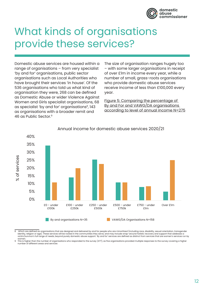

### What kinds of organisations provide these services?

Domestic abuse services are housed within a range of organisations – from very specialist 'by and for' organisations, public sector organisations such as Local Authorities who have brought their services 'in house'. Of the 536 organisations who told us what kind of organisation they were, 268 can be defined as Domestic Abuse or wider Violence Against Women and Girls specialist organisations, 68 as specialist 'by and for' organisations<sup>8</sup>, 143 as organisations with a broader remit and 46 as Public Sector.9

The size of organisation ranges hugely too – with some larger organisations in receipt of over £1m in income every year, while a number of small, grass-roots organisations who provide domestic abuse services receive income of less than £100,000 every year.

Figure 5: Comparing the percentage of By and For and VAWG/DA organisations according to level of annual income N=275



### Annual income for domestic abuse services 2020/21

8 Which are defined as organisations that are designed and delivered by and for people who are minoritized (including race, disability, sexual orientation, transgender identity, religion or age). These services will be rooted in the communities they serve, and may include wrap-around holistic recovery and support that addesses a victim/survivor's full range of needs, beyond purely domestic abuse support. 'By and for' services are defined as distinct from services that are women's services run by<br>women

women. 9 This is higher than the number of organisations who responded to the survey (477), as five organisations provided multiple responses to the survey covering a higher number of different areas and services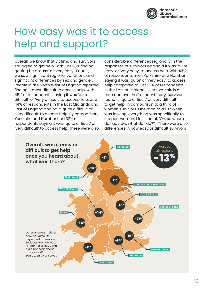

### How easy was it to access help and support?

Overall, we know that victims and survivors struggled to get help, with just 28% finding getting help 'easy' or 'very easy'. Equally, we saw significant regional variations and significant differences by sex and gender. People in the North West of England reported finding it most difficult to access help, with 45% of respondents saying it was 'quite difficult' or 'very difficult' to access help, and 44% of respondents in the East Midlands and East of England finding it 'quite difficult' or 'very difficult' to access help. By comparison, Yorkshire and Humber had 32% of respondents saying it was 'quite difficult' or 'very difficult' to access help. There were also

considerable differences regionally in the responses of survivors who said it was 'quite easy' or 'very easy' to access help, with 43% of respondents from Yorkshire and Humber saying it was 'quite' or 'very easy' to access help compared to just 23% of respondents in the East of England. Over two-thirds of men and over half of non-binary survivors found it 'quite difficult' or 'very difficult' to get help, in comparison to a third of women survivors. One man told us "When I was looking, everything was specifically to support women, I felt kind of, 'Oh, so where do I go now, what do I do?'". There were also differences in how easy or difficult survivors

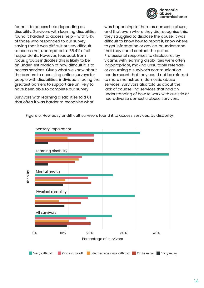

found it to access help depending on disability. Survivors with learning disabilities found it hardest to access help – with 54% of those who responded to our survey saying that it was difficult or very difficult to access help, compared to 38.4% of all respondents. However, feedback from focus groups indicates this is likely to be an under-estimation of how difficult it is to access services. Given what we know about the barriers to accessing online surveys for people with disabilities, individuals facing the greatest barriers to support are unlikely to have been able to complete our survey.

Survivors with learning disabilities told us that often it was harder to recognise what was happening to them as domestic abuse, and that even where they did recognise this, they struggled to disclose the abuse. It was difficult to know how to report it, know where to get information or advice, or understand that they could contact the police. Professional responses to disclosures by victims with learning disabilities were often inappropriate, making unsuitable referrals or assuming a survivor's communication needs meant that they could not be referred to more mainstream domestic abuse services. Survivors also told us about the lack of counselling services that had an understanding of how to work with autistic or neurodiverse domestic abuse survivors.



Figure 6: How easy or difficult survivors found it to access services, by disability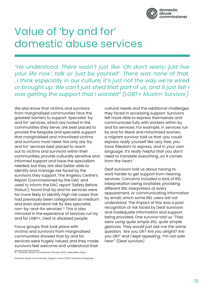

### Value of 'by and for' domestic abuse services

*"He understood. There wasn't just like 'Oh don't worry, just live your life now', talk or 'just be yourself'. There was none of that. ..I think especially in our culture, it's just not the way we're wired or brought up. We can't just shed that part of us, and it just felt I was getting the support that I wanted" (LGBT+ Muslim Survivor)*

We also know that victims and survivors from marginalised communities face the greatest barriers to support. Specialist 'by and for' services, which are rooted in the communities they serve, are best placed to provide the bespoke and specialist support that marginalised and minoritized victims and survivors most need. Not only are 'by and for' services best placed to reach out to victims and survivors within their communities, provide culturally sensitive and informed support and have the specialism needed, but they are also better able to identify and manage risk faced by the survivors they support. The Angelou Centre's Report (commissioned by the DAC and used to inform the DAC report 'Safety Before Status'), found that by and for services were far more likely to identify high risk cases that had previously been categorised as medium and even standard risk by less specialist, non-by-and-for services.<sup>10</sup> This is also mirrored in the experience of services run by and for LGBT+, Deaf or disabled people.

Focus groups that took place with victims and survivors from marginalised communities showed that by and for services were hugely valued, and they made survivors feel welcome and understood their

Domestic Abuse Commissioner, Angelou Centre (2021), *Hinterland of Marginality.*

cultural needs and the additional challenges they faced in accessing support. Survivors felt more able to express themselves and communicate fully with workers within by and for services. For example, in services run by and for Black and minoritized women, a migrant survivor told us that '*you could express really yourself like very free, you have freedom to express, and in your own language. It's really helpful that you don't need to translate everything…so it comes from the heart.*'

Deaf survivors told us about having to work harder to get support from Hearing services. Concerns included a lack of BSL interpretation being available, providing different BSL interpreters at every appointment, or communicating information by email, which some BSL users will not understand. The impact of this was a poor recognition of risk faced by Deaf survivors and inadequate information and support being provided. One survivor told us *"They were using quite simple BSL, quite simple gestures. They would just ask me the same question, 'Are you OK? Are you alright? Are you OK?' And I kept repeating, 'I'm not safe here'" (Deaf survivor)*

<sup>10</sup> Domestic Abuse Commissioner (October 2021), *Safety Before Status.*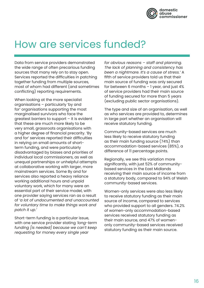

### How are services funded?

Data from service providers demonstrated the wide range of often precarious funding sources that many rely on to stay open. Services reported the difficulties in patching together funding from multiple sources, most of whom had different (and sometimes conflicting) reporting requirements.

When looking at the more specialist organisations – particularly 'by and for' organisations supporting the most marginalised survivors who face the greatest barriers to support – it is evident that these are much more likely to be very small, grassroots organisations with a higher degree of financial precarity. 'By and for' services reported their difficulties in relying on small amounts of shortterm funding, and were particularly disadvantaged by biases and priorities of individual local commissioners, as well as unequal partnerships or unhelpful attempts at collaborative working with larger, more mainstream services. Some By and for services also reported a heavy reliance working additional hours and unpaid voluntary work, which for many were an essential part of their service model, with one provider saying services ran as a result of *'a lot of undocumented and unaccounted for voluntary time to make things work and patch it up.'* 

Short-term funding is a particular issue, with one service provider stating *'long-term funding [is needed] because we can't keep requesting for money every single year* 

*for obvious reasons – staff and planning. The lack of planning and consistency has been a nightmare. It's a cause of stress.'* A fifth of service providers told us that their main source of funding was only secured for between 6 months – 1 year, and just 4% of service providers had their main source of funding secured for more than 5 years (excluding public sector organisations).

The type and size of an organisation, as well as who services are provided to, determines in large part whether an organisation will receive statutory funding.

Community-based services are much less likely to receive statutory funding as their main funding source (74%) than accommodation-based services (85%), a difference of 11 percentage points.

Regionally, we see this variation more significantly, with just 52% of communitybased services in the East Midlands receiving their main source of income from a statutory body, compared to 94% of Welsh community-based services.

Women-only services were also less likely to receive statutory funding as their main source of income, compared to services who provided support to all genders. 74.2% of women-only accommodation-based services received statutory funding as their main source, and 47% of womenonly community-based services received statutory funding as their main source.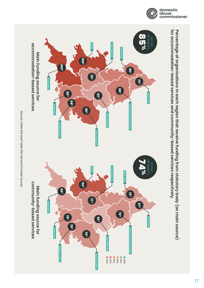

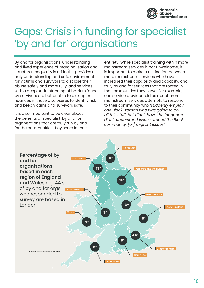

### Gaps: Crisis in funding for specialist 'by and for' organisations

By and for organisations' understanding and lived experience of marginalisation and structural inequality is critical. It provides a truly understanding and safe environment for victims and survivors to disclose their abuse safely and more fully, and services with a deep understanding of barriers faced by survivors are better able to pick up on nuances in those disclosures to identify risk and keep victims and survivors safe.

It is also important to be clear about the benefits of specialist 'by and for' organisations that are truly run by and for the communities they serve in their

entirety. While specialist training within more mainstream services is not unwelcome, it is important to make a distinction between more mainstream services who have increased their capability and capacity, and truly by and for services that are rooted in the communities they serve. For example, one service provider told us about more mainstream services attempts to respond to their community who '*suddenly employ one Black woman who was going to do all this stuff, but didn't have the language, didn't understand issues around the Black community, [or] migrant issues'*.

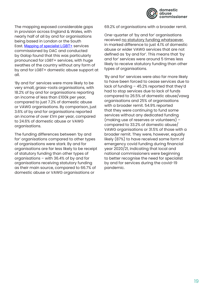

The mapping exposed considerable gaps in provision across England & Wales, with nearly half of all by and for organisations being based in London or the South East. [Mapping of specialist LGBT+](https://domesticabusecommissioner.uk/wp-content/uploads/2021/11/Galop-LGBT-Domestic-Abuse-Service-Provision-Mapping-Study-Final.pdf) services commissioned by DAC and conducted by Galop found that this was particularly pronounced for LGBT+ services, with huge swathes of the country without any form of by and for LGBT+ domestic abuse support at all.

'By and for' services were more likely to be very small, grass-roots organisations, with 18.2% of by and for organisations reporting an income of less than £100k per year, compared to just 7.2% of domestic abuse or VAWG organisations. By comparison, just 3.6% of by and for organisations reported an income of over £1m per year, compared to 24.6% of domestic abuse or VAWG organisations.

The funding differences between 'by and for' organisations compared to other types of organisations were stark. By and for organisations are far less likely to be receipt of statutory funding than other types of organisations – with 36.4% of by and for organisations receiving statutory funding as their main source, compared to 66.7% of domestic abuse or VAWG organisations or

69.2% of organisations with a broader remit.

One-quarter of 'by and for' organisations received no statutory funding whatsoever, in marked difference to just 4.1% of domestic abuse or wider VAWG services that are not defined as 'by and for'. This means that 'by and for' services were around 5 times less likely to receive statutory funding than other types of organisations.

'By and for' services were also far more likely to have been forced to cease services due to lack of funding – 45.2% reported that they'd had to stop services due to lack of funds compared to 26.5% of domestic abuse/vawg organisations and 25% of organisations with a broader remit. 54.9% reported that they were continuing to fund some services without any dedicated funding (making use of reserves or volunteers) – compared to 33.2% of domestic abuse/ VAWG organisations or 31.5% of those with a broader remit. They were, however, equally likely (87%) to have received some form of emergency covid funding during financial year 2020/21, indicating that local and national commissioners were beginning to better recognise the need for specialist by and for services during the covid-19 pandemic.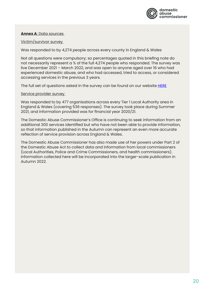

### **Annex A**: Data sources

Victim/survivor survey

Was responded to by 4,274 people across every county in England & Wales

Not all questions were compulsory; so percentages quoted in this briefing note do not necessarily represent a % of the full 4,274 people who responded. The survey was live December 2021 – March 2022, and was open to anyone aged over 16 who had experienced domestic abuse, and who had accessed, tried to access, or considered accessing services in the previous 3 years.

The full set of questions asked in the survey can be found on our website [HERE](https://domesticabusecommissioner.uk/wp-content/uploads/2021/07/National-Mapping-Guidance-and-QA.pdf)

Service provider survey

Was responded to by 477 organisations across every Tier 1 Local Authority area in England & Wales (covering 536 responses). The survey took place during Summer 2021, and information provided was for financial year 2020/21.

The Domestic Abuse Commissioner's Office is continuing to seek information from an additional 300 services identified but who have not been able to provide information, so that information published in the Autumn can represent an even more accurate reflection of service provision across England & Wales.

The Domestic Abuse Commissioner has also made use of her powers under Part 2 of the Domestic Abuse Act to collect data and information from local commissioners (Local Authorities, Police and Crime Commissioners, and health commissioners). Information collected here will be incorporated into the larger-scale publication in Autumn 2022.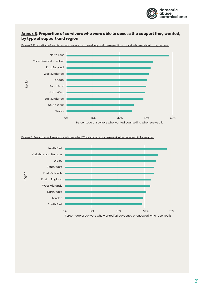

### **Annex B**: **Proportion of survivors who were able to access the support they wanted, by type of support and region**



Figure 7: Proportion of survivors who wanted counselling and therapeutic support who received it, by region.

Figure 8: Proportion of survivors who wanted 121 advocacy or casework who received it, by region.

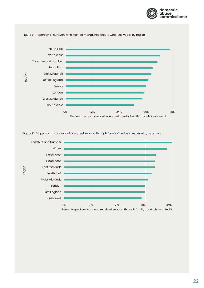



Figure 10: Proportion of survivors who wanted support through Family Court who received it, by region.

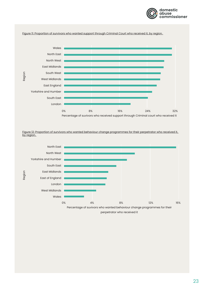

#### Figure 11: Proportion of survivors who wanted support through Criminal Court who received it, by region.



Figure 12: Proportion of survivors who wanted behaviour change programmes for their perpetrator who received it, by region.